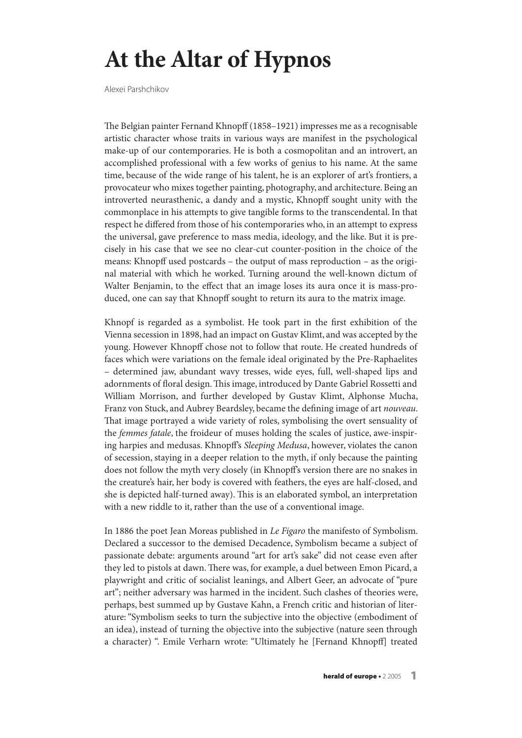## **At the Altar of Hypnos**

Alexei Parshchikov

The Belgian painter Fernand Khnopff (1858–1921) impresses me as a recognisable artistic character whose traits in various ways are manifest in the psychological make-up of our contemporaries. He is both a cosmopolitan and an introvert, an accomplished professional with a few works of genius to his name. At the same time, because of the wide range of his talent, he is an explorer of art's frontiers, a provocateur who mixes together painting, photography, and architecture. Being an introverted neurasthenic, a dandy and a mystic, Khnopff sought unity with the commonplace in his attempts to give tangible forms to the transcendental. In that respect he differed from those of his contemporaries who, in an attempt to express the universal, gave preference to mass media, ideology, and the like. But it is precisely in his case that we see no clear-cut counter-position in the choice of the means: Khnopff used postcards – the output of mass reproduction – as the original material with which he worked. Turning around the well-known dictum of Walter Benjamin, to the effect that an image loses its aura once it is mass-produced, one can say that Khnopff sought to return its aura to the matrix image.

Khnopf is regarded as a symbolist. He took part in the first exhibition of the Vienna secession in 1898, had an impact on Gustav Klimt, and was accepted by the young. However Khnopff chose not to follow that route. He created hundreds of faces which were variations on the female ideal originated by the Pre-Raphaelites – determined jaw, abundant wavy tresses, wide eyes, full, well-shaped lips and adornments of floral design. This image, introduced by Dante Gabriel Rossetti and William Morrison, and further developed by Gustav Klimt, Alphonse Mucha, Franz von Stuck, and Aubrey Beardsley, became the defining image of art nouveau. That image portrayed a wide variety of roles, symbolising the overt sensuality of the femmes fatale, the froideur of muses holding the scales of justice, awe-inspiring harpies and medusas. Khnopff's Sleeping Medusa, however, violates the canon of secession, staying in a deeper relation to the myth, if only because the painting does not follow the myth very closely (in Khnopff's version there are no snakes in the creature's hair, her body is covered with feathers, the eyes are half-closed, and she is depicted half-turned away). This is an elaborated symbol, an interpretation with a new riddle to it, rather than the use of a conventional image.

In 1886 the poet Jean Moreas published in Le Figaro the manifesto of Symbolism. Declared a successor to the demised Decadence, Symbolism became a subject of passionate debate: arguments around "art for art's sake" did not cease even after they led to pistols at dawn. There was, for example, a duel between Emon Picard, a playwright and critic of socialist leanings, and Albert Geer, an advocate of "pure art"; neither adversary was harmed in the incident. Such clashes of theories were, perhaps, best summed up by Gustave Kahn, a French critic and historian of literature:"Symbolism seeks to turn the subjective into the objective (embodiment of an idea), instead of turning the objective into the subjective (nature seen through a character) ". Emile Verharn wrote: "Ultimately he [Fernand Khnopff] treated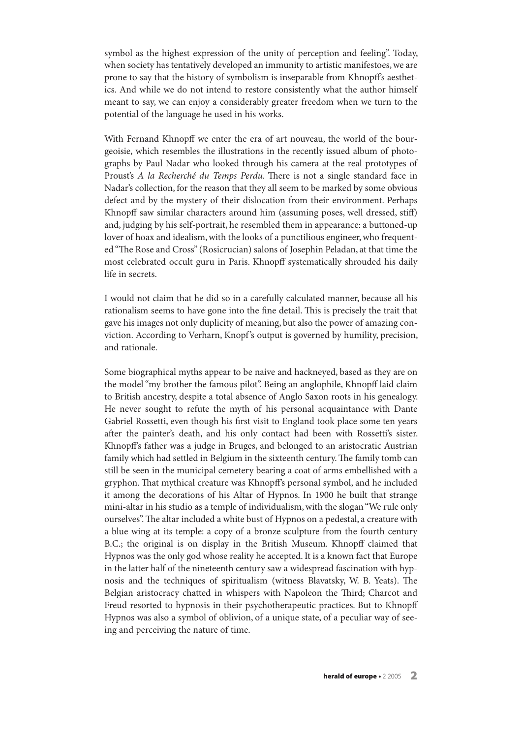symbol as the highest expression of the unity of perception and feeling". Today, when society has tentatively developed an immunity to artistic manifestoes, we are prone to say that the history of symbolism is inseparable from Khnopff's aesthetics. And while we do not intend to restore consistently what the author himself meant to say, we can enjoy a considerably greater freedom when we turn to the potential of the language he used in his works.

With Fernand Khnopff we enter the era of art nouveau, the world of the bourgeoisie, which resembles the illustrations in the recently issued album of photographs by Paul Nadar who looked through his camera at the real prototypes of Proust's A la Recherché du Temps Perdu. There is not a single standard face in Nadar's collection, for the reason that they all seem to be marked by some obvious defect and by the mystery of their dislocation from their environment. Perhaps Khnopff saw similar characters around him (assuming poses, well dressed, stiff) and, judging by his self-portrait, he resembled them in appearance: a buttoned-up lover of hoax and idealism, with the looks of a punctilious engineer, who frequented "The Rose and Cross" (Rosicrucian) salons of Josephin Peladan, at that time the most celebrated occult guru in Paris. Khnopff systematically shrouded his daily life in secrets.

I would not claim that he did so in a carefully calculated manner, because all his rationalism seems to have gone into the fine detail. This is precisely the trait that gave his images not only duplicity of meaning, but also the power of amazing conviction. According to Verharn, Knopf's output is governed by humility, precision, and rationale.

Some biographical myths appear to be naive and hackneyed, based as they are on the model"my brother the famous pilot". Being an anglophile, Khnopff laid claim to British ancestry, despite a total absence of Anglo Saxon roots in his genealogy. He never sought to refute the myth of his personal acquaintance with Dante Gabriel Rossetti, even though his first visit to England took place some ten years after the painter's death, and his only contact had been with Rossetti's sister. Khnopff's father was a judge in Bruges, and belonged to an aristocratic Austrian family which had settled in Belgium in the sixteenth century. The family tomb can still be seen in the municipal cemetery bearing a coat of arms embellished with a gryphon. That mythical creature was Khnopff's personal symbol, and he included it among the decorations of his Altar of Hypnos. In 1900 he built that strange mini-altar in his studio as a temple of individualism,with the slogan"We rule only ourselves". The altar included a white bust of Hypnos on a pedestal, a creature with a blue wing at its temple: a copy of a bronze sculpture from the fourth century B.C.; the original is on display in the British Museum. Khnopff claimed that Hypnos was the only god whose reality he accepted. It is a known fact that Europe in the latter half of the nineteenth century saw a widespread fascination with hypnosis and the techniques of spiritualism (witness Blavatsky, W. B. Yeats). The Belgian aristocracy chatted in whispers with Napoleon the Third; Charcot and Freud resorted to hypnosis in their psychotherapeutic practices. But to Khnopff Hypnos was also a symbol of oblivion, of a unique state, of a peculiar way of seeing and perceiving the nature of time.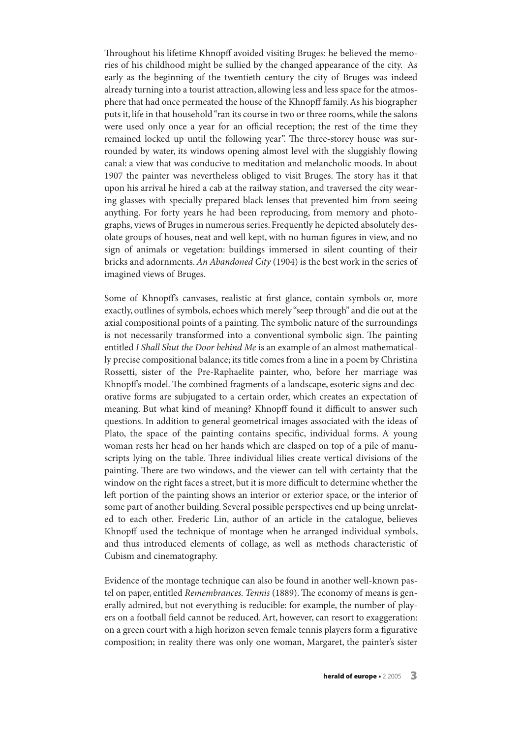Throughout his lifetime Khnopff avoided visiting Bruges: he believed the memories of his childhood might be sullied by the changed appearance of the city. As early as the beginning of the twentieth century the city of Bruges was indeed already turning into a tourist attraction, allowing less and less space for the atmosphere that had once permeated the house of the Khnopff family.As his biographer puts it, life in that household "ran its course in two or three rooms, while the salons were used only once a year for an official reception; the rest of the time they remained locked up until the following year". The three-storey house was surrounded by water, its windows opening almost level with the sluggishly flowing canal: a view that was conducive to meditation and melancholic moods. In about 1907 the painter was nevertheless obliged to visit Bruges. The story has it that upon his arrival he hired a cab at the railway station, and traversed the city wearing glasses with specially prepared black lenses that prevented him from seeing anything. For forty years he had been reproducing, from memory and photographs, views of Bruges in numerous series. Frequently he depicted absolutely desolate groups of houses, neat and well kept, with no human figures in view, and no sign of animals or vegetation: buildings immersed in silent counting of their bricks and adornments. An Abandoned City (1904) is the best work in the series of imagined views of Bruges.

Some of Khnopff's canvases, realistic at first glance, contain symbols or, more exactly, outlines of symbols, echoes which merely "seep through" and die out at the axial compositional points of a painting. The symbolic nature of the surroundings is not necessarily transformed into a conventional symbolic sign. The painting entitled I Shall Shut the Door behind Me is an example of an almost mathematically precise compositional balance; its title comes from a line in a poem by Christina Rossetti, sister of the Pre-Raphaelite painter, who, before her marriage was Khnopff's model. The combined fragments of a landscape, esoteric signs and decorative forms are subjugated to a certain order, which creates an expectation of meaning. But what kind of meaning? Khnopff found it difficult to answer such questions. In addition to general geometrical images associated with the ideas of Plato, the space of the painting contains specific, individual forms. A young woman rests her head on her hands which are clasped on top of a pile of manuscripts lying on the table. Three individual lilies create vertical divisions of the painting. There are two windows, and the viewer can tell with certainty that the window on the right faces a street, but it is more difficult to determine whether the left portion of the painting shows an interior or exterior space, or the interior of some part of another building. Several possible perspectives end up being unrelated to each other. Frederic Lin, author of an article in the catalogue, believes Khnopff used the technique of montage when he arranged individual symbols, and thus introduced elements of collage, as well as methods characteristic of Cubism and cinematography.

Evidence of the montage technique can also be found in another well-known pastel on paper, entitled Remembrances. Tennis (1889). The economy of means is generally admired, but not everything is reducible: for example, the number of players on a football field cannot be reduced.Art, however, can resort to exaggeration: on a green court with a high horizon seven female tennis players form a figurative composition; in reality there was only one woman, Margaret, the painter's sister